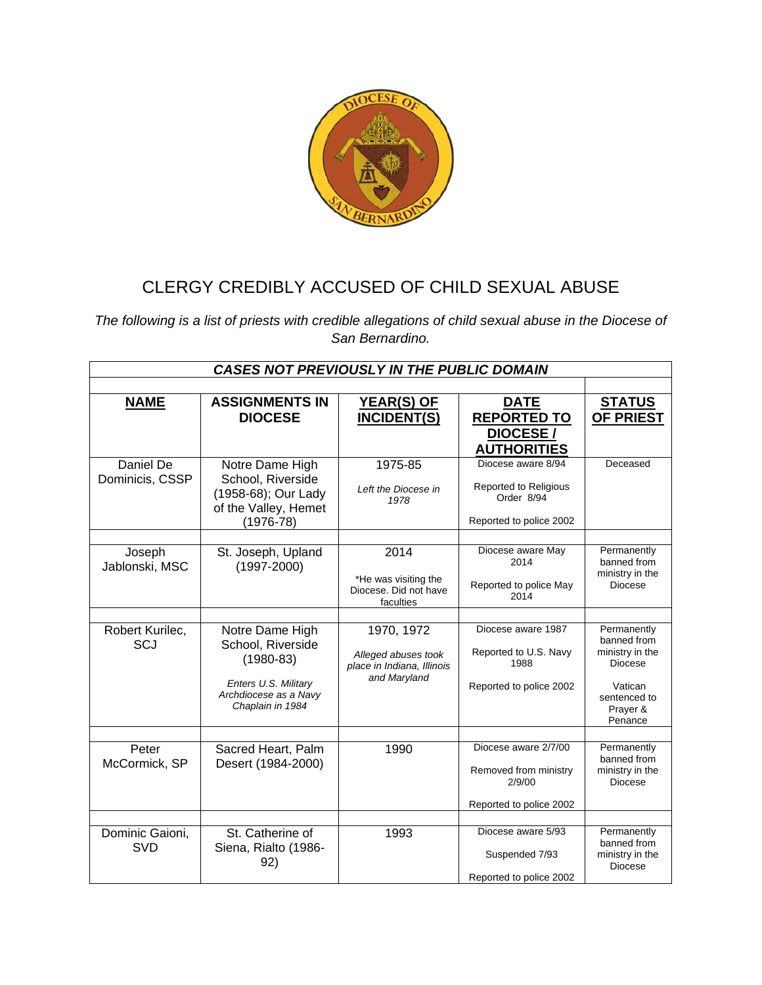

## CLERGY CREDIBLY ACCUSED OF CHILD SEXUAL ABUSE

*The following is a list of priests with credible allegations of child sexual abuse in the Diocese of San Bernardino.* 

| <b>CASES NOT PREVIOUSLY IN THE PUBLIC DOMAIN</b> |                                                                                                                            |                                                                                 |                                                                                      |                                                                                                            |  |
|--------------------------------------------------|----------------------------------------------------------------------------------------------------------------------------|---------------------------------------------------------------------------------|--------------------------------------------------------------------------------------|------------------------------------------------------------------------------------------------------------|--|
|                                                  |                                                                                                                            |                                                                                 |                                                                                      |                                                                                                            |  |
| <b>NAME</b>                                      | <b>ASSIGNMENTS IN</b><br><b>DIOCESE</b>                                                                                    | <b>YEAR(S) OF</b><br><b>INCIDENT(S)</b>                                         | <b>DATE</b><br><b>REPORTED TO</b><br><b>DIOCESE/</b><br><b>AUTHORITIES</b>           | <b>STATUS</b><br><b>OF PRIEST</b>                                                                          |  |
| Daniel De<br>Dominicis, CSSP                     | Notre Dame High<br>School, Riverside<br>(1958-68); Our Lady<br>of the Valley, Hemet<br>$(1976-78)$                         | 1975-85<br>Left the Diocese in<br>1978                                          | Diocese aware 8/94<br>Reported to Religious<br>Order 8/94<br>Reported to police 2002 | Deceased                                                                                                   |  |
| Joseph<br>Jablonski, MSC                         | St. Joseph, Upland<br>$(1997 - 2000)$                                                                                      | 2014<br>*He was visiting the<br>Diocese. Did not have<br>faculties              | Diocese aware May<br>2014<br>Reported to police May<br>2014                          | Permanently<br>banned from<br>ministry in the<br><b>Diocese</b>                                            |  |
| Robert Kurilec,<br>SCJ                           | Notre Dame High<br>School, Riverside<br>$(1980 - 83)$<br>Enters U.S. Military<br>Archdiocese as a Navy<br>Chaplain in 1984 | 1970, 1972<br>Alleged abuses took<br>place in Indiana, Illinois<br>and Maryland | Diocese aware 1987<br>Reported to U.S. Navy<br>1988<br>Reported to police 2002       | Permanently<br>banned from<br>ministry in the<br>Diocese<br>Vatican<br>sentenced to<br>Prayer &<br>Penance |  |
| Peter<br>McCormick, SP                           | Sacred Heart, Palm<br>Desert (1984-2000)                                                                                   | 1990                                                                            | Diocese aware 2/7/00<br>Removed from ministry<br>2/9/00<br>Reported to police 2002   | Permanently<br>banned from<br>ministry in the<br>Diocese                                                   |  |
| Dominic Gaioni,<br><b>SVD</b>                    | St. Catherine of<br>Siena, Rialto (1986-<br>92)                                                                            | 1993                                                                            | Diocese aware 5/93<br>Suspended 7/93<br>Reported to police 2002                      | Permanently<br>banned from<br>ministry in the<br><b>Diocese</b>                                            |  |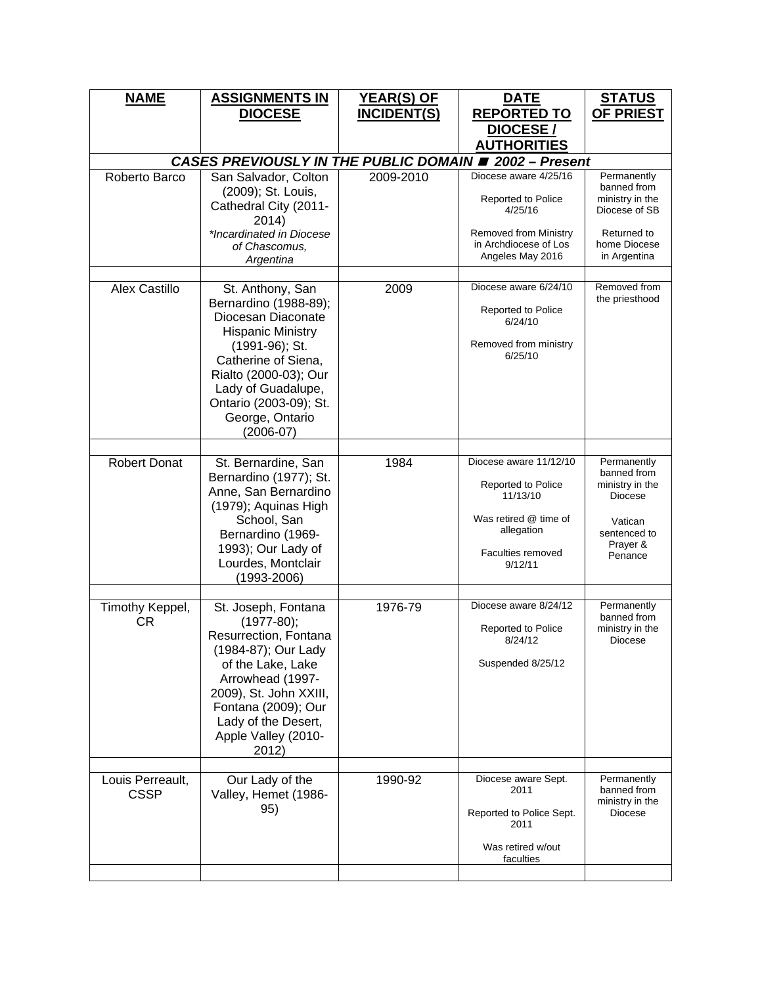| <b>NAME</b>           | <b>ASSIGNMENTS IN</b><br><b>DIOCESE</b>                                                                                                                                                                                                         | <b>YEAR(S) OF</b><br><b>INCIDENT(S)</b> | <b>DATE</b><br><b>REPORTED TO</b><br><b>DIOCESE/</b><br><b>AUTHORITIES</b>                                                          | <b>STATUS</b><br><b>OF PRIEST</b>                                                                             |  |  |
|-----------------------|-------------------------------------------------------------------------------------------------------------------------------------------------------------------------------------------------------------------------------------------------|-----------------------------------------|-------------------------------------------------------------------------------------------------------------------------------------|---------------------------------------------------------------------------------------------------------------|--|--|
|                       | <b>CASES PREVIOUSLY IN THE PUBLIC DOMAIN # 2002 - Present</b>                                                                                                                                                                                   |                                         |                                                                                                                                     |                                                                                                               |  |  |
| Roberto Barco         | San Salvador, Colton<br>(2009); St. Louis,<br>Cathedral City (2011-<br>2014)<br>*Incardinated in Diocese<br>of Chascomus.<br>Argentina                                                                                                          | 2009-2010                               | Diocese aware 4/25/16<br>Reported to Police<br>4/25/16<br><b>Removed from Ministry</b><br>in Archdiocese of Los<br>Angeles May 2016 | Permanently<br>banned from<br>ministry in the<br>Diocese of SB<br>Returned to<br>home Diocese<br>in Argentina |  |  |
|                       |                                                                                                                                                                                                                                                 |                                         |                                                                                                                                     |                                                                                                               |  |  |
| <b>Alex Castillo</b>  | St. Anthony, San<br>Bernardino (1988-89);<br>Diocesan Diaconate<br><b>Hispanic Ministry</b><br>(1991-96); St.<br>Catherine of Siena,<br>Rialto (2000-03); Our<br>Lady of Guadalupe,<br>Ontario (2003-09); St.<br>George, Ontario<br>$(2006-07)$ | 2009                                    | Diocese aware 6/24/10<br>Reported to Police<br>6/24/10<br>Removed from ministry<br>6/25/10                                          | Removed from<br>the priesthood                                                                                |  |  |
|                       |                                                                                                                                                                                                                                                 |                                         | Diocese aware 11/12/10                                                                                                              |                                                                                                               |  |  |
| <b>Robert Donat</b>   | St. Bernardine, San<br>Bernardino (1977); St.<br>Anne, San Bernardino<br>(1979); Aquinas High<br>School, San<br>Bernardino (1969-<br>1993); Our Lady of<br>Lourdes, Montclair<br>$(1993 - 2006)$                                                | 1984                                    | Reported to Police<br>11/13/10<br>Was retired @ time of<br>allegation<br>Faculties removed<br>9/12/11                               | Permanently<br>banned from<br>ministry in the<br>Diocese<br>Vatican<br>sentenced to<br>Prayer &<br>Penance    |  |  |
| Timothy Keppel,<br>CR | St. Joseph, Fontana<br>$(1977-80);$<br>Resurrection, Fontana<br>(1984-87); Our Lady<br>of the Lake, Lake<br>Arrowhead (1997-<br>2009), St. John XXIII,<br>Fontana (2009); Our<br>Lady of the Desert,<br>Apple Valley (2010-<br>2012)            | 1976-79                                 | Diocese aware 8/24/12<br><b>Reported to Police</b><br>8/24/12<br>Suspended 8/25/12                                                  | Permanently<br>banned from<br>ministry in the<br>Diocese                                                      |  |  |
| Louis Perreault,      | Our Lady of the                                                                                                                                                                                                                                 | 1990-92                                 | Diocese aware Sept.                                                                                                                 | Permanently                                                                                                   |  |  |
| <b>CSSP</b>           | Valley, Hemet (1986-<br>95)                                                                                                                                                                                                                     |                                         | 2011<br>Reported to Police Sept.<br>2011<br>Was retired w/out<br>faculties                                                          | banned from<br>ministry in the<br>Diocese                                                                     |  |  |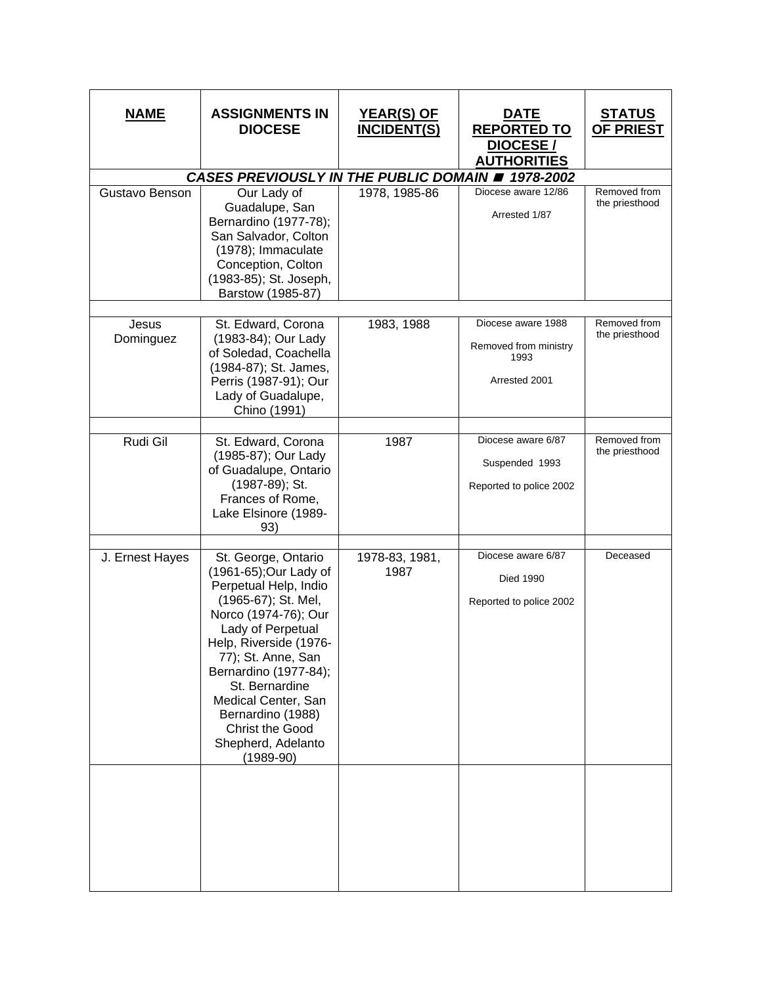| <u>NAME</u>        | <b>ASSIGNMENTS IN</b><br><b>DIOCESE</b>                                                                                                                                                                                                                                                                                                          | <u>YEAR(S) OF</u><br><b>INCIDENT(S)</b> | <u>DATE</u><br><b>REPORTED TO</b><br>DIOCESE/<br><b>AUTHORITIES</b>  | <u>STATUS</u><br><b>OF PRIEST</b> |
|--------------------|--------------------------------------------------------------------------------------------------------------------------------------------------------------------------------------------------------------------------------------------------------------------------------------------------------------------------------------------------|-----------------------------------------|----------------------------------------------------------------------|-----------------------------------|
|                    | CASES PREVIOUSLY IN THE PUBLIC DOMAIN # 1978-2002                                                                                                                                                                                                                                                                                                |                                         |                                                                      |                                   |
| Gustavo Benson     | Our Lady of<br>Guadalupe, San<br>Bernardino (1977-78);<br>San Salvador, Colton<br>(1978); Immaculate<br>Conception, Colton<br>(1983-85); St. Joseph,<br>Barstow (1985-87)                                                                                                                                                                        | 1978, 1985-86                           | Diocese aware 12/86<br>Arrested 1/87                                 | Removed from<br>the priesthood    |
| Jesus<br>Dominguez | St. Edward, Corona<br>(1983-84); Our Lady<br>of Soledad, Coachella<br>(1984-87); St. James,<br>Perris (1987-91); Our<br>Lady of Guadalupe,<br>Chino (1991)                                                                                                                                                                                       | 1983, 1988                              | Diocese aware 1988<br>Removed from ministry<br>1993<br>Arrested 2001 | Removed from<br>the priesthood    |
| Rudi Gil           | St. Edward, Corona<br>(1985-87); Our Lady<br>of Guadalupe, Ontario<br>(1987-89); St.<br>Frances of Rome,<br>Lake Elsinore (1989-<br>93)                                                                                                                                                                                                          | 1987                                    | Diocese aware 6/87<br>Suspended 1993<br>Reported to police 2002      | Removed from<br>the priesthood    |
| J. Ernest Hayes    | St. George, Ontario<br>(1961-65); Our Lady of<br>Perpetual Help, Indio<br>(1965-67); St. Mel,<br>Norco (1974-76); Our<br>Lady of Perpetual<br>Help, Riverside (1976-<br>77); St. Anne, San<br>Bernardino (1977-84);<br>St. Bernardine<br>Medical Center, San<br>Bernardino (1988)<br><b>Christ the Good</b><br>Shepherd, Adelanto<br>$(1989-90)$ | 1978-83, 1981,<br>1987                  | Diocese aware 6/87<br><b>Died 1990</b><br>Reported to police 2002    | Deceased                          |
|                    |                                                                                                                                                                                                                                                                                                                                                  |                                         |                                                                      |                                   |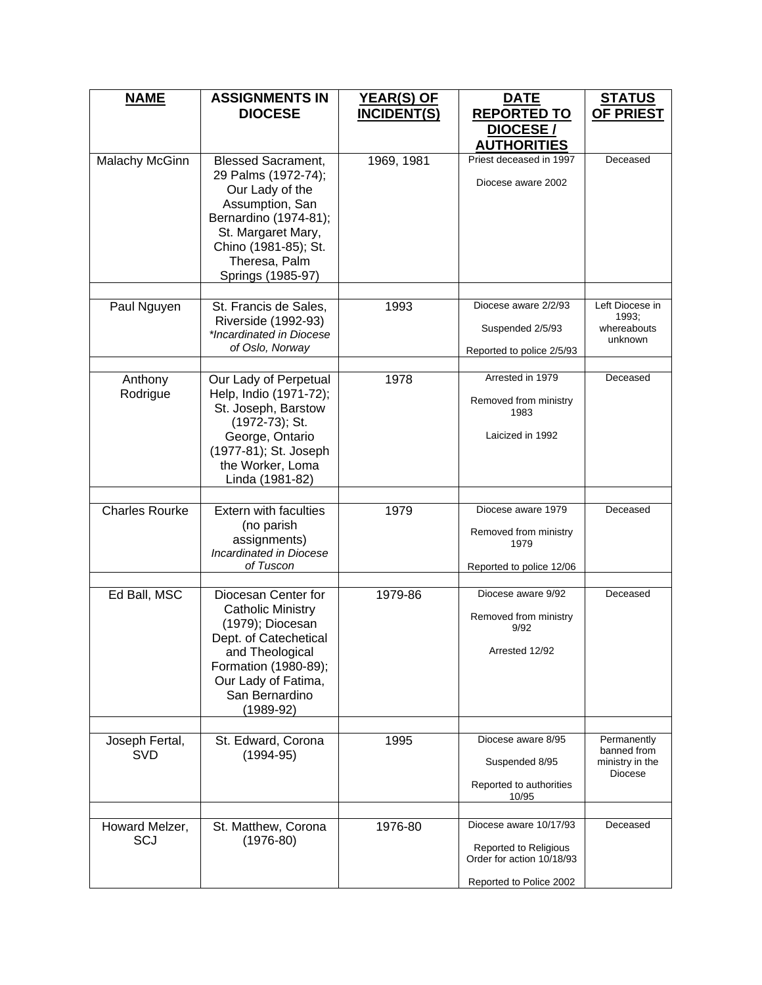| <b>NAME</b>                  | <b>ASSIGNMENTS IN</b><br><b>DIOCESE</b>                                                                                                                                                             | <b>YEAR(S) OF</b><br><b>INCIDENT(S)</b> | <b>DATE</b><br><b>REPORTED TO</b>                                                                              | <b>STATUS</b><br><b>OF PRIEST</b>                        |
|------------------------------|-----------------------------------------------------------------------------------------------------------------------------------------------------------------------------------------------------|-----------------------------------------|----------------------------------------------------------------------------------------------------------------|----------------------------------------------------------|
|                              |                                                                                                                                                                                                     |                                         | DIOCESE/<br><b>AUTHORITIES</b>                                                                                 |                                                          |
| Malachy McGinn               | <b>Blessed Sacrament,</b><br>29 Palms (1972-74);<br>Our Lady of the<br>Assumption, San<br>Bernardino (1974-81);<br>St. Margaret Mary,<br>Chino (1981-85); St.<br>Theresa, Palm<br>Springs (1985-97) | 1969, 1981                              | Priest deceased in 1997<br>Diocese aware 2002                                                                  | Deceased                                                 |
| Paul Nguyen                  | St. Francis de Sales,                                                                                                                                                                               | 1993                                    | Diocese aware 2/2/93                                                                                           | Left Diocese in                                          |
|                              | Riverside (1992-93)<br>*Incardinated in Diocese                                                                                                                                                     |                                         | Suspended 2/5/93                                                                                               | 1993;<br>whereabouts<br>unknown                          |
|                              | of Oslo, Norway                                                                                                                                                                                     |                                         | Reported to police 2/5/93                                                                                      |                                                          |
| Anthony<br>Rodrigue          | Our Lady of Perpetual<br>Help, Indio (1971-72);<br>St. Joseph, Barstow<br>(1972-73); St.<br>George, Ontario<br>(1977-81); St. Joseph<br>the Worker, Loma<br>Linda (1981-82)                         | 1978                                    | Arrested in 1979<br>Removed from ministry<br>1983<br>Laicized in 1992                                          | Deceased                                                 |
| <b>Charles Rourke</b>        | <b>Extern with faculties</b><br>(no parish<br>assignments)<br>Incardinated in Diocese<br>of Tuscon                                                                                                  | 1979                                    | Diocese aware 1979<br>Removed from ministry<br>1979<br>Reported to police 12/06                                | Deceased                                                 |
| Ed Ball, MSC                 | Diocesan Center for<br><b>Catholic Ministry</b><br>(1979); Diocesan<br>Dept. of Catechetical<br>and Theological<br>Formation (1980-89);<br>Our Lady of Fatima,<br>San Bernardino<br>$(1989-92)$     | 1979-86                                 | Diocese aware 9/92<br>Removed from ministry<br>9/92<br>Arrested 12/92                                          | Deceased                                                 |
| Joseph Fertal,<br><b>SVD</b> | St. Edward, Corona<br>$(1994 - 95)$                                                                                                                                                                 | 1995                                    | Diocese aware 8/95<br>Suspended 8/95<br>Reported to authorities<br>10/95                                       | Permanently<br>banned from<br>ministry in the<br>Diocese |
| Howard Melzer,<br>SCJ        | St. Matthew, Corona<br>$(1976-80)$                                                                                                                                                                  | 1976-80                                 | Diocese aware 10/17/93<br><b>Reported to Religious</b><br>Order for action 10/18/93<br>Reported to Police 2002 | Deceased                                                 |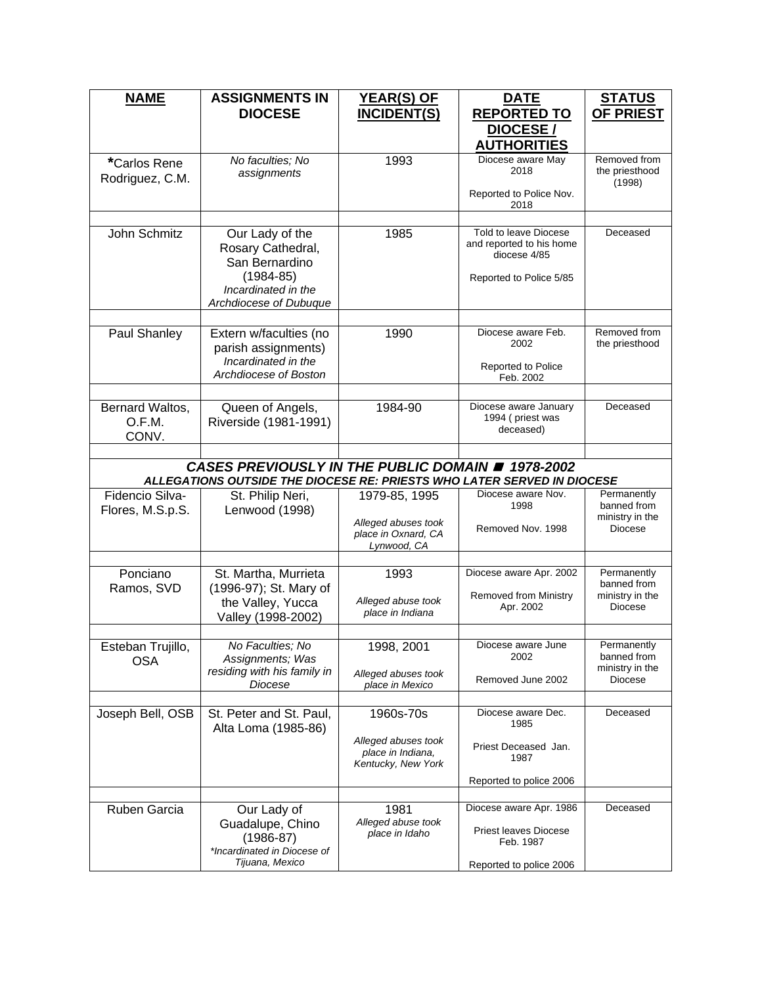| <b>NAME</b>                         | <b>ASSIGNMENTS IN</b><br><b>DIOCESE</b>                                                                                  | <b>YEAR(S) OF</b><br><b>INCIDENT(S)</b>                                    | <b>DATE</b><br><b>REPORTED TO</b>                                                            | <u>STATUS</u><br><b>OF PRIEST</b>                        |
|-------------------------------------|--------------------------------------------------------------------------------------------------------------------------|----------------------------------------------------------------------------|----------------------------------------------------------------------------------------------|----------------------------------------------------------|
|                                     |                                                                                                                          |                                                                            | <b>DIOCESE/</b><br><b>AUTHORITIES</b>                                                        |                                                          |
| *Carlos Rene<br>Rodriguez, C.M.     | No faculties; No<br>assignments                                                                                          | 1993                                                                       | Diocese aware May<br>2018                                                                    | Removed from<br>the priesthood<br>(1998)                 |
|                                     |                                                                                                                          |                                                                            | Reported to Police Nov.<br>2018                                                              |                                                          |
| John Schmitz                        | Our Lady of the<br>Rosary Cathedral,<br>San Bernardino<br>$(1984 - 85)$<br>Incardinated in the<br>Archdiocese of Dubuque | 1985                                                                       | Told to leave Diocese<br>and reported to his home<br>diocese 4/85<br>Reported to Police 5/85 | Deceased                                                 |
| Paul Shanley                        | Extern w/faculties (no<br>parish assignments)<br>Incardinated in the<br>Archdiocese of Boston                            | 1990                                                                       | Diocese aware Feb.<br>2002<br>Reported to Police<br>Feb. 2002                                | Removed from<br>the priesthood                           |
| Bernard Waltos,<br>O.F.M.<br>CONV.  | Queen of Angels,<br>Riverside (1981-1991)                                                                                | 1984-90                                                                    | Diocese aware January<br>1994 (priest was<br>deceased)                                       | Deceased                                                 |
|                                     | CASES PREVIOUSLY IN THE PUBLIC DOMAIN # 1978-2002                                                                        |                                                                            |                                                                                              |                                                          |
|                                     | ALLEGATIONS OUTSIDE THE DIOCESE RE: PRIESTS WHO LATER SERVED IN DIOCESE                                                  |                                                                            |                                                                                              |                                                          |
| Fidencio Silva-<br>Flores, M.S.p.S. | St. Philip Neri,<br>Lenwood (1998)                                                                                       | 1979-85, 1995<br>Alleged abuses took<br>place in Oxnard, CA<br>Lynwood, CA | Diocese aware Nov.<br>1998<br>Removed Nov. 1998                                              | Permanently<br>banned from<br>ministry in the<br>Diocese |
|                                     |                                                                                                                          |                                                                            |                                                                                              |                                                          |
| Ponciano<br>Ramos, SVD              | St. Martha, Murrieta<br>(1996-97); St. Mary of<br>the Valley, Yucca<br>Valley (1998-2002)                                | 1993<br>Alleged abuse took<br>place in Indiana                             | Diocese aware Apr. 2002<br>Removed from Ministry<br>Apr. 2002                                | Permanently<br>banned from<br>ministry in the<br>Diocese |
|                                     |                                                                                                                          |                                                                            |                                                                                              |                                                          |
| Esteban Trujillo,<br><b>OSA</b>     | No Faculties; No<br>Assignments; Was<br>residing with his family in<br>Diocese                                           | 1998, 2001<br>Alleged abuses took<br>place in Mexico                       | Diocese aware June<br>2002<br>Removed June 2002                                              | Permanently<br>banned from<br>ministry in the<br>Diocese |
| Joseph Bell, OSB                    | St. Peter and St. Paul,<br>Alta Loma (1985-86)                                                                           | 1960s-70s                                                                  | Diocese aware Dec.<br>1985                                                                   | Deceased                                                 |
|                                     |                                                                                                                          | Alleged abuses took<br>place in Indiana,<br>Kentucky, New York             | Priest Deceased Jan.<br>1987                                                                 |                                                          |
|                                     |                                                                                                                          |                                                                            | Reported to police 2006                                                                      |                                                          |
| Ruben Garcia                        | Our Lady of<br>Guadalupe, Chino<br>$(1986-87)$<br>*Incardinated in Diocese of<br>Tijuana, Mexico                         | 1981<br>Alleged abuse took<br>place in Idaho                               | Diocese aware Apr. 1986<br><b>Priest leaves Diocese</b><br>Feb. 1987                         | Deceased                                                 |
|                                     |                                                                                                                          |                                                                            | Reported to police 2006                                                                      |                                                          |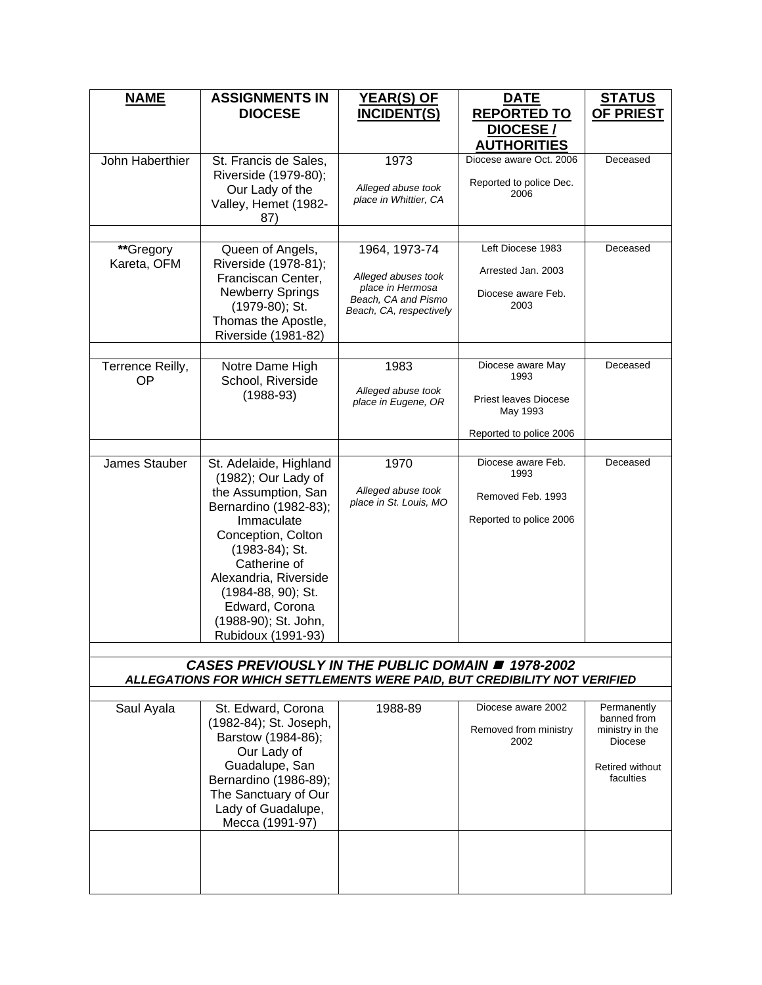| <u>NAME</u>      | <b>ASSIGNMENTS IN</b><br><b>DIOCESE</b>                                                                                        | <u>YEAR(S) OF</u><br><b>INCIDENT(S)</b>                            | <b>DATE</b><br><b>REPORTED TO</b>        | <u>STATUS</u><br><b>OF PRIEST</b> |
|------------------|--------------------------------------------------------------------------------------------------------------------------------|--------------------------------------------------------------------|------------------------------------------|-----------------------------------|
|                  |                                                                                                                                |                                                                    | DIOCESE/<br><b>AUTHORITIES</b>           |                                   |
| John Haberthier  | St. Francis de Sales,<br>Riverside (1979-80);                                                                                  | 1973                                                               | Diocese aware Oct. 2006                  | Deceased                          |
|                  | Our Lady of the<br>Valley, Hemet (1982-                                                                                        | Alleged abuse took<br>place in Whittier, CA                        | Reported to police Dec.<br>2006          |                                   |
|                  | 87)                                                                                                                            |                                                                    |                                          |                                   |
| **Gregory        | Queen of Angels,                                                                                                               | 1964, 1973-74                                                      | Left Diocese 1983                        | Deceased                          |
| Kareta, OFM      | Riverside (1978-81);<br>Franciscan Center,                                                                                     | Alleged abuses took                                                | Arrested Jan. 2003                       |                                   |
|                  | <b>Newberry Springs</b><br>(1979-80); St.<br>Thomas the Apostle,                                                               | place in Hermosa<br>Beach, CA and Pismo<br>Beach, CA, respectively | Diocese aware Feb.<br>2003               |                                   |
|                  | Riverside (1981-82)                                                                                                            |                                                                    |                                          |                                   |
| Terrence Reilly, | Notre Dame High                                                                                                                | 1983                                                               | Diocese aware May                        | Deceased                          |
| <b>OP</b>        | School, Riverside                                                                                                              |                                                                    | 1993                                     |                                   |
|                  | $(1988-93)$                                                                                                                    | Alleged abuse took<br>place in Eugene, OR                          | <b>Priest leaves Diocese</b><br>May 1993 |                                   |
|                  |                                                                                                                                |                                                                    | Reported to police 2006                  |                                   |
| James Stauber    | St. Adelaide, Highland                                                                                                         | 1970                                                               | Diocese aware Feb.<br>1993               | Deceased                          |
|                  | (1982); Our Lady of<br>the Assumption, San                                                                                     | Alleged abuse took                                                 | Removed Feb. 1993                        |                                   |
|                  | Bernardino (1982-83);<br>Immaculate                                                                                            | place in St. Louis, MO                                             | Reported to police 2006                  |                                   |
|                  | Conception, Colton                                                                                                             |                                                                    |                                          |                                   |
|                  | (1983-84); St.<br>Catherine of                                                                                                 |                                                                    |                                          |                                   |
|                  | Alexandria, Riverside                                                                                                          |                                                                    |                                          |                                   |
|                  | (1984-88, 90); St.<br>Edward, Corona                                                                                           |                                                                    |                                          |                                   |
|                  | (1988-90); St. John,<br>Rubidoux (1991-93)                                                                                     |                                                                    |                                          |                                   |
|                  |                                                                                                                                |                                                                    |                                          |                                   |
|                  | CASES PREVIOUSLY IN THE PUBLIC DOMAIN # 1978-2002<br>ALLEGATIONS FOR WHICH SETTLEMENTS WERE PAID, BUT CREDIBILITY NOT VERIFIED |                                                                    |                                          |                                   |
|                  | St. Edward, Corona                                                                                                             | 1988-89                                                            | Diocese aware 2002                       | Permanently                       |
| Saul Ayala       | (1982-84); St. Joseph,                                                                                                         |                                                                    | Removed from ministry                    | banned from<br>ministry in the    |
|                  | Barstow (1984-86);<br>Our Lady of                                                                                              |                                                                    | 2002                                     | Diocese                           |
|                  | Guadalupe, San                                                                                                                 |                                                                    |                                          | Retired without                   |
|                  | Bernardino (1986-89);<br>The Sanctuary of Our                                                                                  |                                                                    |                                          | faculties                         |
|                  | Lady of Guadalupe,<br>Mecca (1991-97)                                                                                          |                                                                    |                                          |                                   |
|                  |                                                                                                                                |                                                                    |                                          |                                   |
|                  |                                                                                                                                |                                                                    |                                          |                                   |
|                  |                                                                                                                                |                                                                    |                                          |                                   |